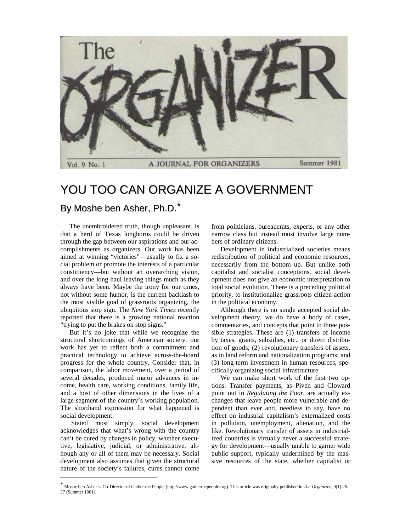

# YOU TOO CAN ORGANIZE A GOVERNMENT

# By Moshe ben Asher, Ph.D.[\\*](#page-0-0)

The unembroidered truth, though unpleasant, is that a herd of Texas longhorns could be driven through the gap between our aspirations and our accomplishments as organizers. Our work has been aimed at winning "victories"—usually to fix a social problem or promote the interests of a particular constituency—but without an overarching vision, and over the long haul leaving things much as they always have been. Maybe the irony for our times, not without some humor, is the current backlash to the most visible goal of grassroots organizing, the ubiquitous stop sign. The *New York Times* recently reported that there is a growing national reaction "trying to put the brakes on stop signs."

But it's no joke that while we recognize the structural shortcomings of American society, our work has yet to reflect both a commitment and practical technology to achieve across-the-board progress for the whole country. Consider that, in comparison, the labor movement, over a period of several decades, produced major advances in income, health care, working conditions, family life, and a host of other dimensions in the lives of a large segment of the country's working population. The shorthand expression for what happened is social development.

Stated most simply, social development acknowledges that what's wrong with the country can't be cured by changes in policy, whether executive, legislative, judicial, or administrative, although any or all of them may be necessary. Social development also assumes that given the structural nature of the society's failures, cures cannot come

from politicians, bureaucrats, experts, or any other narrow class but instead must involve large numbers of ordinary citizens.

Development in industrialized societies means redistribution of political and economic resources, necessarily from the bottom up. But unlike both capitalist and socialist conceptions, social development does not give an economic interpretation to total social evolution. There is a preceding political priority, to institutionalize grassroots citizen action in the political economy.

Although there is no single accepted social development theory, we do have a body of cases, commentaries, and concepts that point to three possible strategies. These are (1) transfers of income by taxes, grants, subsidies, etc., or direct distribution of goods; (2) revolutionary transfers of assets, as in land reform and nationalization programs; and (3) long-term investment in human resources, specifically organizing social infrastructure.

We can make short work of the first two options. Transfer payments, as Piven and Cloward point out in *Regulating the Poor*, are actually exchanges that leave people more vulnerable and dependent than ever and, needless to say, have no effect on industrial capitalism's externalized costs in pollution, unemployment, alienation, and the like. Revolutionary transfer of assets in industrialized countries is virtually never a successful strategy for development—usually unable to garner wide public support, typically undermined by the massive resources of the state, whether capitalist or

<span id="page-0-0"></span> <sup>\*</sup> Moshe ben Asher is Co-Director of Gather the People (http://www.gatherthepeople.org). This article was originally published in *The Organizer*, 9(1):25- 37 (Summer 1981).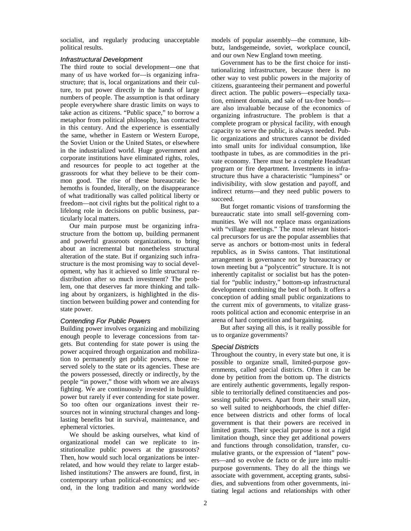socialist, and regularly producing unacceptable political results.

#### *Infrastructural Development*

The third route to social development—one that many of us have worked for—is organizing infrastructure; that is, local organizations and their culture, to put power directly in the hands of large numbers of people. The assumption is that ordinary people everywhere share drastic limits on ways to take action as citizens. "Public space," to borrow a metaphor from political philosophy, has contracted in this century. And the experience is essentially the same, whether in Eastern or Western Europe, the Soviet Union or the United States, or elsewhere in the industrialized world. Huge government and corporate institutions have eliminated rights, roles, and resources for people to act together at the grassroots for what they believe to be their common good. The rise of these bureaucratic behemoths is founded, literally, on the disappearance of what traditionally was called political liberty or freedom—not civil rights but the political right to a lifelong role in decisions on public business, particularly local matters.

Our main purpose must be organizing infrastructure from the bottom up, building permanent and powerful grassroots organizations, to bring about an incremental but nonetheless structural alteration of the state. But if organizing such infrastructure is the most promising way to social development, why has it achieved so little structural redistribution after so much investment? The problem, one that deserves far more thinking and talking about by organizers, is highlighted in the distinction between building power and contending for state power.

# *Contending For Public Powers*

Building power involves organizing and mobilizing enough people to leverage concessions from targets. But contending for state power is using the power acquired through organization and mobilization to permanently get public powers, those reserved solely to the state or its agencies. These are the powers possessed, directly or indirectly, by the people "in power," those with whom we are always fighting. We are continuously invested in building power but rarely if ever contending for state power. So too often our organizations invest their resources not in winning structural changes and longlasting benefits but in survival, maintenance, and ephemeral victories.

We should be asking ourselves, what kind of organizational model can we replicate to institutionalize public powers at the grassroots? Then, how would such local organizations be interrelated, and how would they relate to larger established institutions? The answers are found, first, in contemporary urban political-economics; and second, in the long tradition and many worldwide

models of popular assembly—the commune, kibbutz, landsgemeinde, soviet, workplace council, and our own New England town meeting.

Government has to be the first choice for institutionalizing infrastructure, because there is no other way to vest public powers in the majority of citizens, guaranteeing their permanent and powerful direct action. The public powers—especially taxation, eminent domain, and sale of tax-free bonds are also invaluable because of the economics of organizing infrastructure. The problem is that a complete program or physical facility, with enough capacity to serve the public, is always needed. Public organizations and structures cannot be divided into small units for individual consumption, like toothpaste in tubes, as are commodities in the private economy. There must be a complete Headstart program or fire department. Investments in infrastructure thus have a characteristic "lumpiness" or indivisibility, with slow gestation and payoff, and indirect returns—and they need public powers to succeed.

But forget romantic visions of transforming the bureaucratic state into small self-governing communities. We will not replace mass organizations with "village meetings." The most relevant historical precursors for us are the popular assemblies that serve as anchors or bottom-most units in federal republics, as in Swiss cantons. That institutional arrangement is governance not by bureaucracy or town meeting but a "polycentric" structure. It is not inherently capitalist or socialist but has the potential for "public industry," bottom-up infrastructural development combining the best of both. It offers a conception of adding small public organizations to the current mix of governments, to vitalize grassroots political action and economic enterprise in an arena of hard competition and bargaining.

But after saying all this, is it really possible for us to organize governments?

# *Special Districts*

Throughout the country, in every state but one, it is possible to organize small, limited-purpose governments, called special districts. Often it can be done by petition from the bottom up. The districts are entirely authentic governments, legally responsible to territorially defined constituencies and possessing public powers. Apart from their small size, so well suited to neighborhoods, the chief difference between districts and other forms of local government is that their powers are received in limited grants. Their special purpose is not a rigid limitation though, since they get additional powers and functions through consolidation, transfer, cumulative grants, or the expression of "latent" powers—and so evolve de facto or de jure into multipurpose governments. They do all the things we associate with government, accepting grants, subsidies, and subventions from other governments, initiating legal actions and relationships with other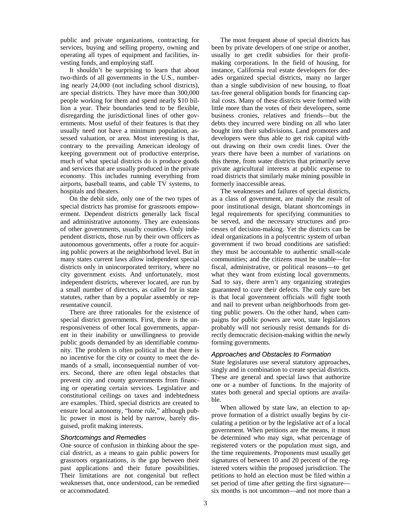public and private organizations, contracting for services, buying and selling property, owning and operating all types of equipment and facilities, investing funds, and employing staff.

It shouldn't be surprising to learn that about two-thirds of all governments in the U.S., numbering nearly 24,000 (not including school districts), are special districts. They have more than 300,000 people working for them and spend nearly \$10 billion a year. Their boundaries tend to be flexible, disregarding the jurisdictional lines of other governments. Most useful of their features is that they usually need not have a minimum population, assessed valuation, or area. Most interesting is that, contrary to the prevailing American ideology of keeping government out of productive enterprise, much of what special districts do is produce goods and services that are usually produced in the private economy. This includes running everything from airports, baseball teams, and cable TV systems, to hospitals and theaters.

On the debit side, only one of the two types of special districts has promise for grassroots empowerment. Dependent districts generally lack fiscal and administrative autonomy. They are extensions of other governments, usually counties. Only independent districts, those run by their own officers as autonomous governments, offer a route for acquiring public powers at the neighborhood level. But in many states current laws allow independent special districts only in unincorporated territory, where no city government exists. And unfortunately, most independent districts, wherever located, are run by a small number of directors, as called for in state statutes, rather than by a popular assembly or representative council.

There are three rationales for the existence of special district governments. First, there is the unresponsiveness of other local governments, apparent in their inability or unwillingness to provide public goods demanded by an identifiable community. The problem is often political in that there is no incentive for the city or county to meet the demands of a small, inconsequential number of voters. Second, there are often legal obstacles that prevent city and county governments from financing or operating certain services. Legislative and constitutional ceilings on taxes and indebtedness are examples. Third, special districts are created to ensure local autonomy, "home rule," although public power in most is held by narrow, barely disguised, profit making interests.

#### *Shortcomings and Remedies*

One source of confusion in thinking about the special district, as a means to gain public powers for grassroots organizations, is the gap between their past applications and their future possibilities. Their limitations are not congenital but reflect weaknesses that, once understood, can be remedied or accommodated.

The most frequent abuse of special districts has been by private developers of one stripe or another, usually to get credit subsidies for their profitmaking corporations. In the field of housing, for instance, California real estate developers for decades organized special districts, many no larger than a single subdivision of new housing, to float tax-free general obligation bonds for financing capital costs. Many of these districts were formed with little more than the votes of their developers, some business cronies, relatives and friends—but the debts they incurred were binding on all who later bought into their subdivisions. Land promoters and developers were thus able to get risk capital without drawing on their own credit lines. Over the years there have been a number of variations on this theme, from water districts that primarily serve private agricultural interests at public expense to road districts that similarly make mining possible in formerly inaccessible areas.

The weaknesses and failures of special districts, as a class of government, are mainly the result of poor institutional design, blatant shortcomings in legal requirements for specifying communities to be served, and the necessary structures and processes of decision-making. Yet the districts can be ideal organizations in a polycentric system of urban government if two broad conditions are satisfied: they must be accountable to authentic small-scale communities; and the citizens must be unable—for fiscal, administrative, or political reasons—to get what they want from existing local governments. Sad to say, there aren't any organizing strategies guaranteed to cure their defects. The only sure bet is that local government officials will fight tooth and nail to prevent urban neighborhoods from getting public powers. On the other hand, when campaigns for public powers are won, state legislators probably will not seriously resist demands for directly democratic decision-making within the newly forming governments.

#### *Approaches and Obstacles to Formation*

State legislatures use several statutory approaches, singly and in combination to create special districts. These are general and special laws that authorize one or a number of functions. In the majority of states both general and special options are available.

When allowed by state law, an election to approve formation of a district usually begins by circulating a petition or by the legislative act of a local government. When petitions are the means, it must be determined who may sign, what percentage of registered voters or the population must sign, and the time requirements. Proponents must usually get signatures of between 10 and 20 percent of the registered voters within the proposed jurisdiction. The petitions to hold an election must be filed within a set period of time after getting the first signature six months is not uncommon—and not more than a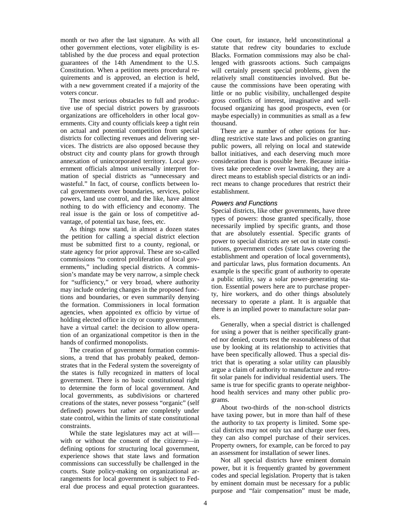month or two after the last signature. As with all other government elections, voter eligibility is established by the due process and equal protection guarantees of the 14th Amendment to the U.S. Constitution. When a petition meets procedural requirements and is approved, an election is held, with a new government created if a majority of the voters concur.

The most serious obstacles to full and productive use of special district powers by grassroots organizations are officeholders in other local governments. City and county officials keep a tight rein on actual and potential competition from special districts for collecting revenues and delivering services. The districts are also opposed because they obstruct city and county plans for growth through annexation of unincorporated territory. Local government officials almost universally interpret formation of special districts as "unnecessary and wasteful." In fact, of course, conflicts between local governments over boundaries, services, police powers, land use control, and the like, have almost nothing to do with efficiency and economy. The real issue is the gain or loss of competitive advantage, of potential tax base, fees, etc.

As things now stand, in almost a dozen states the petition for calling a special district election must be submitted first to a county, regional, or state agency for prior approval. These are so-called commissions "to control proliferation of local governments," including special districts. A commission's mandate may be very narrow, a simple check for "sufficiency," or very broad, where authority may include ordering changes in the proposed functions and boundaries, or even summarily denying the formation. Commissioners in local formation agencies, when appointed ex officio by virtue of holding elected office in city or county government, have a virtual cartel: the decision to allow operation of an organizational competitor is then in the hands of confirmed monopolists.

The creation of government formation commissions, a trend that has probably peaked, demonstrates that in the Federal system the sovereignty of the states is fully recognized in matters of local government. There is no basic constitutional right to determine the form of local government. And local governments, as subdivisions or chartered creations of the states, never possess "organic" (self defined) powers but rather are completely under state control, within the limits of state constitutional constraints.

While the state legislatures may act at will with or without the consent of the citizenry—in defining options for structuring local government, experience shows that state laws and formation commissions can successfully be challenged in the courts. State policy-making on organizational arrangements for local government is subject to Federal due process and equal protection guarantees.

One court, for instance, held unconstitutional a statute that redrew city boundaries to exclude Blacks. Formation commissions may also be challenged with grassroots actions. Such campaigns will certainly present special problems, given the relatively small constituencies involved. But because the commissions have been operating with little or no public visibility, unchallenged despite gross conflicts of interest, imaginative and wellfocused organizing has good prospects, even (or maybe especially) in communities as small as a few thousand.

There are a number of other options for hurdling restrictive state laws and policies on granting public powers, all relying on local and statewide ballot initiatives, and each deserving much more consideration than is possible here. Because initiatives take precedence over lawmaking, they are a direct means to establish special districts or an indirect means to change procedures that restrict their establishment.

# *Powers and Functions*

Special districts, like other governments, have three types of powers: those granted specifically, those necessarily implied by specific grants, and those that are absolutely essential. Specific grants of power to special districts are set out in state constitutions, government codes (state laws covering the establishment and operation of local governments), and particular laws, plus formation documents. An example is the specific grant of authority to operate a public utility, say a solar power-generating station. Essential powers here are to purchase property, hire workers, and do other things absolutely necessary to operate a plant. It is arguable that there is an implied power to manufacture solar panels.

Generally, when a special district is challenged for using a power that is neither specifically granted nor denied, courts test the reasonableness of that use by looking at its relationship to activities that have been specifically allowed. Thus a special district that is operating a solar utility can plausibly argue a claim of authority to manufacture and retrofit solar panels for individual residential users. The same is true for specific grants to operate neighborhood health services and many other public programs.

About two-thirds of the non-school districts have taxing power, but in more than half of these the authority to tax property is limited. Some special districts may not only tax and charge user fees, they can also compel purchase of their services. Property owners, for example, can be forced to pay an assessment for installation of sewer lines.

Not all special districts have eminent domain power, but it is frequently granted by government codes and special legislation. Property that is taken by eminent domain must be necessary for a public purpose and "fair compensation" must be made,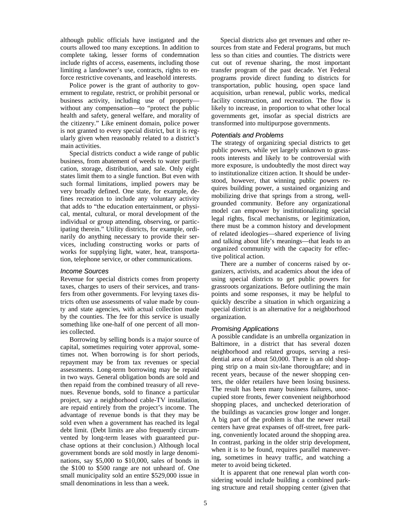although public officials have instigated and the courts allowed too many exceptions. In addition to complete taking, lesser forms of condemnation include rights of access, easements, including those limiting a landowner's use, contracts, rights to enforce restrictive covenants, and leasehold interests.

Police power is the grant of authority to government to regulate, restrict, or prohibit personal or business activity, including use of property without any compensation—to "protect the public health and safety, general welfare, and morality of the citizenry." Like eminent domain, police power is not granted to every special district, but it is regularly given when reasonably related to a district's main activities.

Special districts conduct a wide range of public business, from abatement of weeds to water purification, storage, distribution, and sale. Only eight states limit them to a single function. But even with such formal limitations, implied powers may be very broadly defined. One state, for example, defines recreation to include any voluntary activity that adds to "the education entertainment, or physical, mental, cultural, or moral development of the individual or group attending, observing, or participating therein." Utility districts, for example, ordinarily do anything necessary to provide their services, including constructing works or parts of works for supplying light, water, heat, transportation, telephone service, or other communications.

#### *Income Sources*

Revenue for special districts comes from property taxes, charges to users of their services, and transfers from other governments. For levying taxes districts often use assessments of value made by county and state agencies, with actual collection made by the counties. The fee for this service is usually something like one-half of one percent of all monies collected.

Borrowing by selling bonds is a major source of capital, sometimes requiring voter approval, sometimes not. When borrowing is for short periods, repayment may be from tax revenues or special assessments. Long-term borrowing may be repaid in two ways. General obligation bonds are sold and then repaid from the combined treasury of all revenues. Revenue bonds, sold to finance a particular project, say a neighborhood cable-TV installation, are repaid entirely from the project's income. The advantage of revenue bonds is that they may be sold even when a government has reached its legal debt limit. (Debt limits are also frequently circumvented by long-term leases with guaranteed purchase options at their conclusion.) Although local government bonds are sold mostly in large denominations, say \$5,000 to \$10,000, sales of bonds in the \$100 to \$500 range are not unheard of. One small municipality sold an entire \$529,000 issue in small denominations in less than a week.

Special districts also get revenues and other resources from state and Federal programs, but much less so than cities and counties. The districts were cut out of revenue sharing, the most important transfer program of the past decade. Yet Federal programs provide direct funding to districts for transportation, public housing, open space land acquisition, urban renewal, public works, medical facility construction, and recreation. The flow is likely to increase, in proportion to what other local governments get, insofar as special districts are transformed into multipurpose governments.

#### *Potentials and Problems*

The strategy of organizing special districts to get public powers, while yet largely unknown to grassroots interests and likely to be controversial with more exposure, is undoubtedly the most direct way to institutionalize citizen action. It should be understood, however, that winning public powers requires building power, a sustained organizing and mobilizing drive that springs from a strong, wellgrounded community. Before any organizational model can empower by institutionalizing special legal rights, fiscal mechanisms, or legitimization, there must be a common history and development of related ideologies—shared experience of living and talking about life's meanings—that leads to an organized community with the capacity for effective political action.

There are a number of concerns raised by organizers, activists, and academics about the idea of using special districts to get public powers for grassroots organizations. Before outlining the main points and some responses, it may be helpful to quickly describe a situation in which organizing a special district is an alternative for a neighborhood organization.

#### *Promising Applications*

A possible candidate is an umbrella organization in Baltimore, in a district that has several dozen neighborhood and related groups, serving a residential area of about 50,000. There is an old shopping strip on a main six-lane thoroughfare; and in recent years, because of the newer shopping centers, the older retailers have been losing business. The result has been many business failures, unoccupied store fronts, fewer convenient neighborhood shopping places, and unchecked deterioration of the buildings as vacancies grow longer and longer. A big part of the problem is that the newer retail centers have great expanses of off-street, free parking, conveniently located around the shopping area. In contrast, parking in the older strip development, when it is to be found, requires parallel maneuvering, sometimes in heavy traffic, and watching a meter to avoid being ticketed.

It is apparent that one renewal plan worth considering would include building a combined parking structure and retail shopping center (given that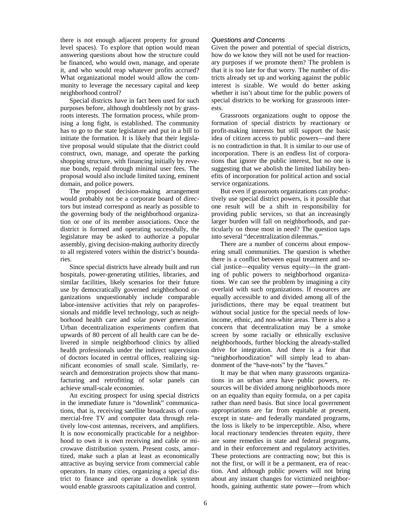there is not enough adjacent property for ground level spaces). To explore that option would mean answering questions about how the structure could be financed, who would own, manage, and operate it, and who would reap whatever profits accrued? What organizational model would allow the community to leverage the necessary capital and keep neighborhood control?

Special districts have in fact been used for such purposes before, although doubtlessly not by grassroots interests. The formation process, while promising a long fight, is established. The community has to go to the state legislature and put in a bill to initiate the formation. It is likely that their legislative proposal would stipulate that the district could construct, own, manage, and operate the parking shopping structure, with financing initially by revenue bonds, repaid through minimal user fees. The proposal would also include limited taxing, eminent domain, and police powers.

The proposed decision-making arrangement would probably not be a corporate board of directors but instead correspond as nearly as possible to the governing body of the neighborhood organization or one of its member associations. Once the district is formed and operating successfully, the legislature may be asked to authorize a popular assembly, giving decision-making authority directly to all registered voters within the district's boundaries.

Since special districts have already built and run hospitals, power-generating utilities, libraries, and similar facilities, likely scenarios for their future use by democratically governed neighborhood organizations unquestionably include comparable labor-intensive activities that rely on paraprofessionals and middle level technology, such as neighborhood health care and solar power generation. Urban decentralization experiments confirm that upwards of 80 percent of all health care can be delivered in simple neighborhood clinics by allied health professionals under the indirect supervision of doctors located in central offices, realizing significant economies of small scale. Similarly, research and demonstration projects show that manufacturing and retrofitting of solar panels can achieve small-scale economies.

An exciting prospect for using special districts in the immediate future is "downlink" communications, that is, receiving satellite broadcasts of commercial-free TV and computer data through relatively low-cost antennas, receivers, and amplifiers. It is now economically practicable for a neighborhood to own it is own receiving and cable or microwave distribution system. Present costs, amortized, make such a plan at least as economically attractive as buying service from commercial cable operators. In many cities, organizing a special district to finance and operate a downlink system would enable grassroots capitalization and control.

# *Questions and Concerns*

Given the power and potential of special districts, how do we know they will not be used for reactionary purposes if we promote them? The problem is that it is too late for that worry. The number of districts already set up and working against the public interest is sizable. We would do better asking whether it isn't about time for the public powers of special districts to be working for grassroots interests.

Grassroots organizations ought to oppose the formation of special districts by reactionary or profit-making interests but still support the basic idea of citizen access to public powers—and there is no contradiction in that. It is similar to our use of incorporation. There is an endless list of corporations that ignore the public interest, but no one is suggesting that we abolish the limited liability benefits of incorporation for political action and social service organizations.

But even if grassroots organizations can productively use special district powers, is it possible that one result will be a shift in responsibility for providing public services, so that an increasingly larger burden will fall on neighborhoods, and particularly on those most in need? The question taps into several "decentralization dilemmas."

There are a number of concerns about empowering small communities. The question is whether there is a conflict between equal treatment and social justice—equality versus equity—in the granting of public powers to neighborhood organizations. We can see the problem by imagining a city overlaid with such organizations. If resources are equally accessible to and divided among all of the jurisdictions, there may be equal treatment but without social justice for the special needs of lowincome, ethnic, and non-white areas. There is also a concern that decentralization may be a smoke screen by some racially or ethnically exclusive neighborhoods, further blocking the already-stalled drive for integration. And there is a fear that "neighborhoodization" will simply lead to abandonment of the "have-nots" by the "haves."

It may be that when many grassroots organizations in an urban area have public powers, resources will be divided among neighborhoods more on an equality than equity formula, on a per capita rather than need basis. But since local government appropriations are far from equitable at present, except in state- and federally mandated programs, the loss is likely to be imperceptible. Also, where local reactionary tendencies threaten equity, there are some remedies in state and federal programs, and in their enforcement and regulatory activities. These protections are contracting now; but this is not the first, or will it be a permanent, era of reaction. And although public powers will not bring about any instant changes for victimized neighborhoods, gaining authentic state power—from which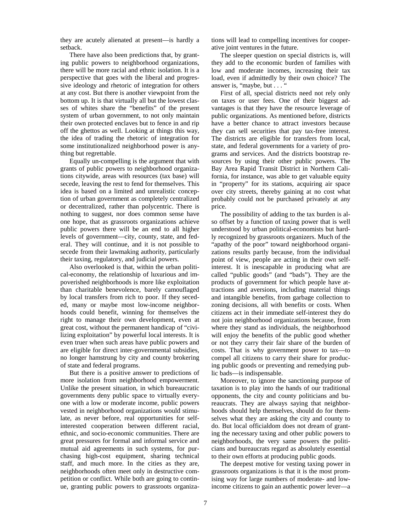they are acutely alienated at present—is hardly a setback.

There have also been predictions that, by granting public powers to neighborhood organizations, there will be more racial and ethnic isolation. It is a perspective that goes with the liberal and progressive ideology and rhetoric of integration for others at any cost. But there is another viewpoint from the bottom up. It is that virtually all but the lowest classes of whites share the "benefits" of the present system of urban government, to not only maintain their own protected enclaves but to fence in and rip off the ghettos as well. Looking at things this way, the idea of trading the rhetoric of integration for some institutionalized neighborhood power is anything but regrettable.

Equally un-compelling is the argument that with grants of public powers to neighborhood organizations citywide, areas with resources (tax base) will secede, leaving the rest to fend for themselves. This idea is based on a limited and unrealistic conception of urban government as completely centralized or decentralized, rather than polycentric. There is nothing to suggest, nor does common sense have one hope, that as grassroots organizations achieve public powers there will be an end to all higher levels of government—city, county, state, and federal. They will continue, and it is not possible to secede from their lawmaking authority, particularly their taxing, regulatory, and judicial powers.

Also overlooked is that, within the urban political-economy, the relationship of luxurious and impoverished neighborhoods is more like exploitation than charitable benevolence, barely camouflaged by local transfers from rich to poor. If they seceded, many or maybe most low-income neighborhoods could benefit, winning for themselves the right to manage their own development, even at great cost, without the permanent handicap of "civilizing exploitation" by powerful local interests. It is even truer when such areas have public powers and are eligible for direct inter-governmental subsidies, no longer hamstrung by city and county brokering of state and federal programs.

But there is a positive answer to predictions of more isolation from neighborhood empowerment. Unlike the present situation, in which bureaucratic governments deny public space to virtually everyone with a low or moderate income, public powers vested in neighborhood organizations would stimulate, as never before, real opportunities for selfinterested cooperation between different racial, ethnic, and socio-economic communities. There are great pressures for formal and informal service and mutual aid agreements in such systems, for purchasing high-cost equipment, sharing technical staff, and much more. In the cities as they are, neighborhoods often meet only in destructive competition or conflict. While both are going to continue, granting public powers to grassroots organizations will lead to compelling incentives for cooperative joint ventures in the future.

The sleeper question on special districts is, will they add to the economic burden of families with low and moderate incomes, increasing their tax load, even if admittedly by their own choice? The answer is, "maybe, but . . . "

First of all, special districts need not rely only on taxes or user fees. One of their biggest advantages is that they have the resource leverage of public organizations. As mentioned before, districts have a better chance to attract investors because they can sell securities that pay tax-free interest. The districts are eligible for transfers from local, state, and federal governments for a variety of programs and services. And the districts bootstrap resources by using their other public powers. The Bay Area Rapid Transit District in Northern California, for instance, was able to get valuable equity in "property" for its stations, acquiring air space over city streets, thereby gaining at no cost what probably could not be purchased privately at any price.

The possibility of adding to the tax burden is also offset by a function of taxing power that is well understood by urban political-economists but hardly recognized by grassroots organizers. Much of the "apathy of the poor" toward neighborhood organizations results partly because, from the individual point of view, people are acting in their own selfinterest. It is inescapable in producing what are called "public goods" (and "bads"). They are the products of government for which people have attractions and aversions, including material things and intangible benefits, from garbage collection to zoning decisions, all with benefits or costs. When citizens act in their immediate self-interest they do not join neighborhood organizations because, from where they stand as individuals, the neighborhood will enjoy the benefits of the public good whether or not they carry their fair share of the burden of costs. That is why government power to tax—to compel all citizens to carry their share for producing public goods or preventing and remedying public bads—is indispensable.

Moreover, to ignore the sanctioning purpose of taxation is to play into the hands of our traditional opponents, the city and county politicians and bureaucrats. They are always saying that neighborhoods should help themselves, should do for themselves what they are asking the city and county to do. But local officialdom does not dream of granting the necessary taxing and other public powers to neighborhoods, the very same powers the politicians and bureaucrats regard as absolutely essential to their own efforts at producing public goods.

The deepest motive for vesting taxing power in grassroots organizations is that it is the most promising way for large numbers of moderate- and lowincome citizens to gain an authentic power lever—a